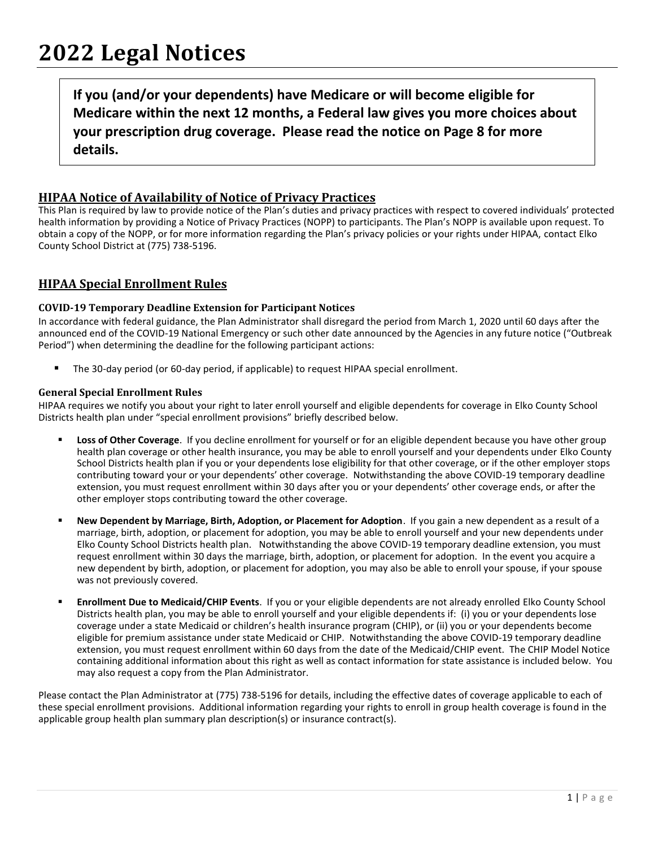**If you (and/or your dependents) have Medicare or will become eligible for Medicare within the next 12 months, a Federal law gives you more choices about your prescription drug coverage. Please read the notice on Page 8 for more details.**

# **HIPAA Notice of Availability of Notice of Privacy Practices**

This Plan is required by law to provide notice of the Plan's duties and privacy practices with respect to covered individuals' protected health information by providing a Notice of Privacy Practices (NOPP) to participants. The Plan's NOPP is available upon request. To obtain a copy of the NOPP, or for more information regarding the Plan's privacy policies or your rights under HIPAA, contact Elko County School District at (775) 738-5196.

## **HIPAA Special Enrollment Rules**

## **COVID-19 Temporary Deadline Extension for Participant Notices**

In accordance with federal guidance, the Plan Administrator shall disregard the period from March 1, 2020 until 60 days after the announced end of the COVID-19 National Emergency or such other date announced by the Agencies in any future notice ("Outbreak Period") when determining the deadline for the following participant actions:

■ The 30-day period (or 60-day period, if applicable) to request HIPAA special enrollment.

## **General Special Enrollment Rules**

HIPAA requires we notify you about your right to later enroll yourself and eligible dependents for coverage in Elko County School Districts health plan under "special enrollment provisions" briefly described below.

- Loss of Other Coverage. If you decline enrollment for yourself or for an eligible dependent because you have other group health plan coverage or other health insurance, you may be able to enroll yourself and your dependents under Elko County School Districts health plan if you or your dependents lose eligibility for that other coverage, or if the other employer stops contributing toward your or your dependents' other coverage. Notwithstanding the above COVID-19 temporary deadline extension, you must request enrollment within 30 days after you or your dependents' other coverage ends, or after the other employer stops contributing toward the other coverage.
- New Dependent by Marriage, Birth, Adoption, or Placement for Adoption. If you gain a new dependent as a result of a marriage, birth, adoption, or placement for adoption, you may be able to enroll yourself and your new dependents under Elko County School Districts health plan. Notwithstanding the above COVID-19 temporary deadline extension, you must request enrollment within 30 days the marriage, birth, adoption, or placement for adoption. In the event you acquire a new dependent by birth, adoption, or placement for adoption, you may also be able to enroll your spouse, if your spouse was not previously covered.
- **Enrollment Due to Medicaid/CHIP Events**. If you or your eligible dependents are not already enrolled Elko County School Districts health plan, you may be able to enroll yourself and your eligible dependents if: (i) you or your dependents lose coverage under a state Medicaid or children's health insurance program (CHIP), or (ii) you or your dependents become eligible for premium assistance under state Medicaid or CHIP. Notwithstanding the above COVID-19 temporary deadline extension, you must request enrollment within 60 days from the date of the Medicaid/CHIP event. The CHIP Model Notice containing additional information about this right as well as contact information for state assistance is included below. You may also request a copy from the Plan Administrator.

Please contact the Plan Administrator at (775) 738-5196 for details, including the effective dates of coverage applicable to each of these special enrollment provisions. Additional information regarding your rights to enroll in group health coverage is found in the applicable group health plan summary plan description(s) or insurance contract(s).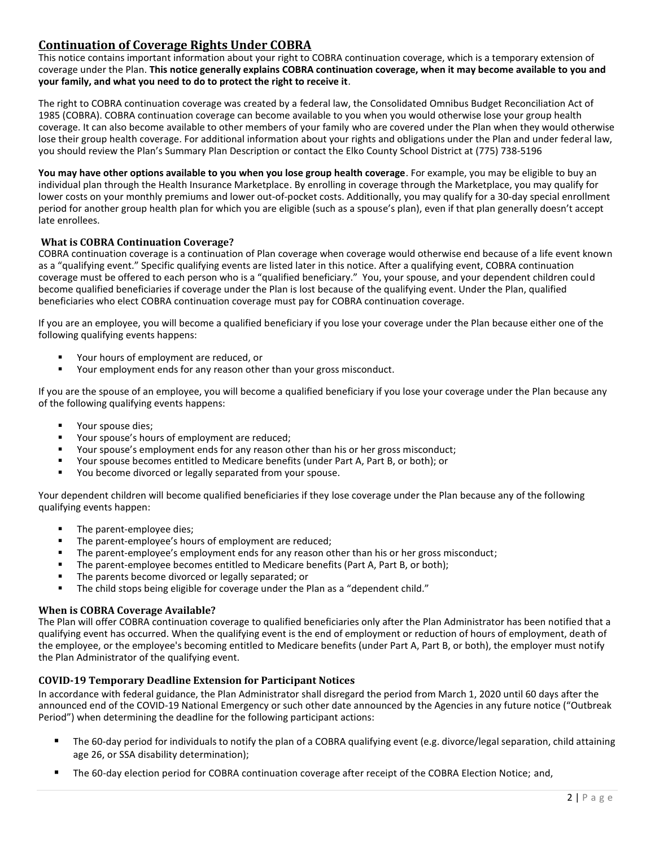# **Continuation of Coverage Rights Under COBRA**

This notice contains important information about your right to COBRA continuation coverage, which is a temporary extension of coverage under the Plan. **This notice generally explains COBRA continuation coverage, when it may become available to you and your family, and what you need to do to protect the right to receive it**.

The right to COBRA continuation coverage was created by a federal law, the Consolidated Omnibus Budget Reconciliation Act of 1985 (COBRA). COBRA continuation coverage can become available to you when you would otherwise lose your group health coverage. It can also become available to other members of your family who are covered under the Plan when they would otherwise lose their group health coverage. For additional information about your rights and obligations under the Plan and under federal law, you should review the Plan's Summary Plan Description or contact the Elko County School District at (775) 738-5196

**You may have other options available to you when you lose group health coverage**. For example, you may be eligible to buy an individual plan through the Health Insurance Marketplace. By enrolling in coverage through the Marketplace, you may qualify for lower costs on your monthly premiums and lower out-of-pocket costs. Additionally, you may qualify for a 30-day special enrollment period for another group health plan for which you are eligible (such as a spouse's plan), even if that plan generally doesn't accept late enrollees.

## **What is COBRA Continuation Coverage?**

COBRA continuation coverage is a continuation of Plan coverage when coverage would otherwise end because of a life event known as a "qualifying event." Specific qualifying events are listed later in this notice. After a qualifying event, COBRA continuation coverage must be offered to each person who is a "qualified beneficiary." You, your spouse, and your dependent children could become qualified beneficiaries if coverage under the Plan is lost because of the qualifying event. Under the Plan, qualified beneficiaries who elect COBRA continuation coverage must pay for COBRA continuation coverage.

If you are an employee, you will become a qualified beneficiary if you lose your coverage under the Plan because either one of the following qualifying events happens:

- Your hours of employment are reduced, or<br>■ Your employment ends for any reason other
- Your employment ends for any reason other than your gross misconduct.

If you are the spouse of an employee, you will become a qualified beneficiary if you lose your coverage under the Plan because any of the following qualifying events happens:

- Your spouse dies:
- Your spouse's hours of employment are reduced:
- Your spouse's employment ends for any reason other than his or her gross misconduct;
- Your spouse becomes entitled to Medicare benefits (under Part A, Part B, or both); or
- You become divorced or legally separated from your spouse.

Your dependent children will become qualified beneficiaries if they lose coverage under the Plan because any of the following qualifying events happen:

- The parent-employee dies;
- The parent-employee's hours of employment are reduced;
- **•** The parent-employee's employment ends for any reason other than his or her gross misconduct;
- The parent-employee becomes entitled to Medicare benefits (Part A, Part B, or both);
- The parents become divorced or legally separated; or<br>■ The child stops being eligible for coverage under the B
- The child stops being eligible for coverage under the Plan as a "dependent child."

## **When is COBRA Coverage Available?**

The Plan will offer COBRA continuation coverage to qualified beneficiaries only after the Plan Administrator has been notified that a qualifying event has occurred. When the qualifying event is the end of employment or reduction of hours of employment, death of the employee, or the employee's becoming entitled to Medicare benefits (under Part A, Part B, or both), the employer must notify the Plan Administrator of the qualifying event.

#### **COVID-19 Temporary Deadline Extension for Participant Notices**

In accordance with federal guidance, the Plan Administrator shall disregard the period from March 1, 2020 until 60 days after the announced end of the COVID-19 National Emergency or such other date announced by the Agencies in any future notice ("Outbreak Period") when determining the deadline for the following participant actions:

- The 60-day period for individuals to notify the plan of a COBRA qualifying event (e.g. divorce/legal separation, child attaining age 26, or SSA disability determination);
- The 60-day election period for COBRA continuation coverage after receipt of the COBRA Election Notice; and,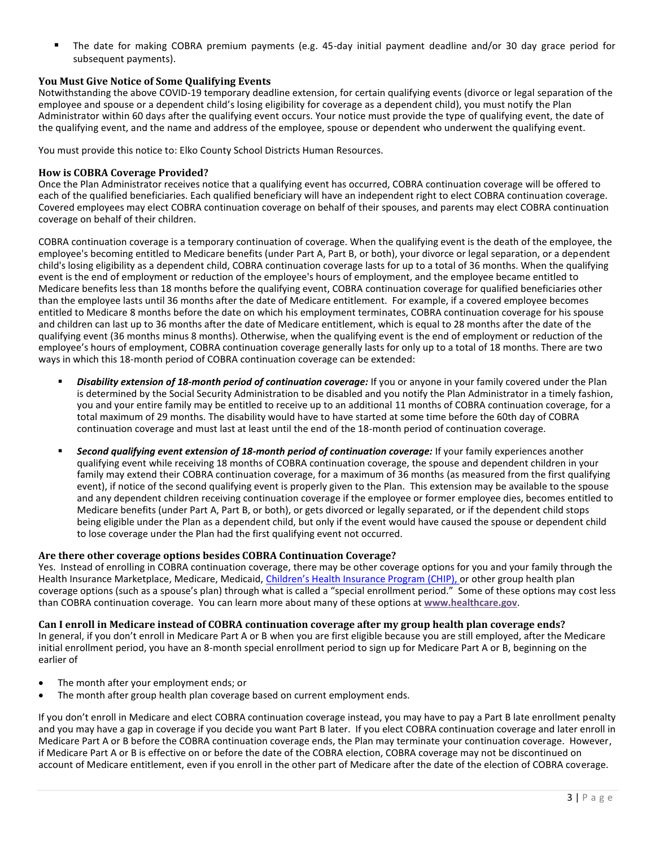■ The date for making COBRA premium payments (e.g. 45-day initial payment deadline and/or 30 day grace period for subsequent payments).

#### **You Must Give Notice of Some Qualifying Events**

Notwithstanding the above COVID-19 temporary deadline extension, for certain qualifying events (divorce or legal separation of the employee and spouse or a dependent child's losing eligibility for coverage as a dependent child), you must notify the Plan Administrator within 60 days after the qualifying event occurs. Your notice must provide the type of qualifying event, the date of the qualifying event, and the name and address of the employee, spouse or dependent who underwent the qualifying event.

You must provide this notice to: Elko County School Districts Human Resources.

#### **How is COBRA Coverage Provided?**

Once the Plan Administrator receives notice that a qualifying event has occurred, COBRA continuation coverage will be offered to each of the qualified beneficiaries. Each qualified beneficiary will have an independent right to elect COBRA continuation coverage. Covered employees may elect COBRA continuation coverage on behalf of their spouses, and parents may elect COBRA continuation coverage on behalf of their children.

COBRA continuation coverage is a temporary continuation of coverage. When the qualifying event is the death of the employee, the employee's becoming entitled to Medicare benefits (under Part A, Part B, or both), your divorce or legal separation, or a dependent child's losing eligibility as a dependent child, COBRA continuation coverage lasts for up to a total of 36 months. When the qualifying event is the end of employment or reduction of the employee's hours of employment, and the employee became entitled to Medicare benefits less than 18 months before the qualifying event, COBRA continuation coverage for qualified beneficiaries other than the employee lasts until 36 months after the date of Medicare entitlement. For example, if a covered employee becomes entitled to Medicare 8 months before the date on which his employment terminates, COBRA continuation coverage for his spouse and children can last up to 36 months after the date of Medicare entitlement, which is equal to 28 months after the date of the qualifying event (36 months minus 8 months). Otherwise, when the qualifying event is the end of employment or reduction of the employee's hours of employment, COBRA continuation coverage generally lasts for only up to a total of 18 months. There are two ways in which this 18-month period of COBRA continuation coverage can be extended:

- Disability extension of 18-month period of continuation coverage: If you or anyone in your family covered under the Plan is determined by the Social Security Administration to be disabled and you notify the Plan Administrator in a timely fashion, you and your entire family may be entitled to receive up to an additional 11 months of COBRA continuation coverage, for a total maximum of 29 months. The disability would have to have started at some time before the 60th day of COBRA continuation coverage and must last at least until the end of the 18-month period of continuation coverage.
- Second qualifying event extension of 18-month period of continuation coverage: If your family experiences another qualifying event while receiving 18 months of COBRA continuation coverage, the spouse and dependent children in your family may extend their COBRA continuation coverage, for a maximum of 36 months (as measured from the first qualifying event), if notice of the second qualifying event is properly given to the Plan. This extension may be available to the spouse and any dependent children receiving continuation coverage if the employee or former employee dies, becomes entitled to Medicare benefits (under Part A, Part B, or both), or gets divorced or legally separated, or if the dependent child stops being eligible under the Plan as a dependent child, but only if the event would have caused the spouse or dependent child to lose coverage under the Plan had the first qualifying event not occurred.

## **Are there other coverage options besides COBRA Continuation Coverage?**

Yes. Instead of enrolling in COBRA continuation coverage, there may be other coverage options for you and your family through the Health Insurance Marketplace, Medicare, Medicaid, Children's Health In[surance Program \(CHIP\),](https://www.healthcare.gov/are-my-children-eligible-for-chip) or other group health plan coverage options (such as a spouse's plan) through what is called a "special enrollment period." Some of these options may cost less than COBRA continuation coverage. You can learn more about many of these options at **[www.healthcare.gov](https://www.dol.gov/ebsa/www.healthcare.gov)**.

**Can I enroll in Medicare instead of COBRA continuation coverage after my group health plan coverage ends?** In general, if you don't enroll in Medicare Part A or B when you are first eligible because you are still employed, after the Medicare initial enrollment period, you have an 8-month special enrollment period to sign up for Medicare Part A or B, beginning on the earlier of

- The month after your employment ends; or
- The month after group health plan coverage based on current employment ends.

If you don't enroll in Medicare and elect COBRA continuation coverage instead, you may have to pay a Part B late enrollment penalty and you may have a gap in coverage if you decide you want Part B later. If you elect COBRA continuation coverage and later enroll in Medicare Part A or B before the COBRA continuation coverage ends, the Plan may terminate your continuation coverage. However, if Medicare Part A or B is effective on or before the date of the COBRA election, COBRA coverage may not be discontinued on account of Medicare entitlement, even if you enroll in the other part of Medicare after the date of the election of COBRA coverage.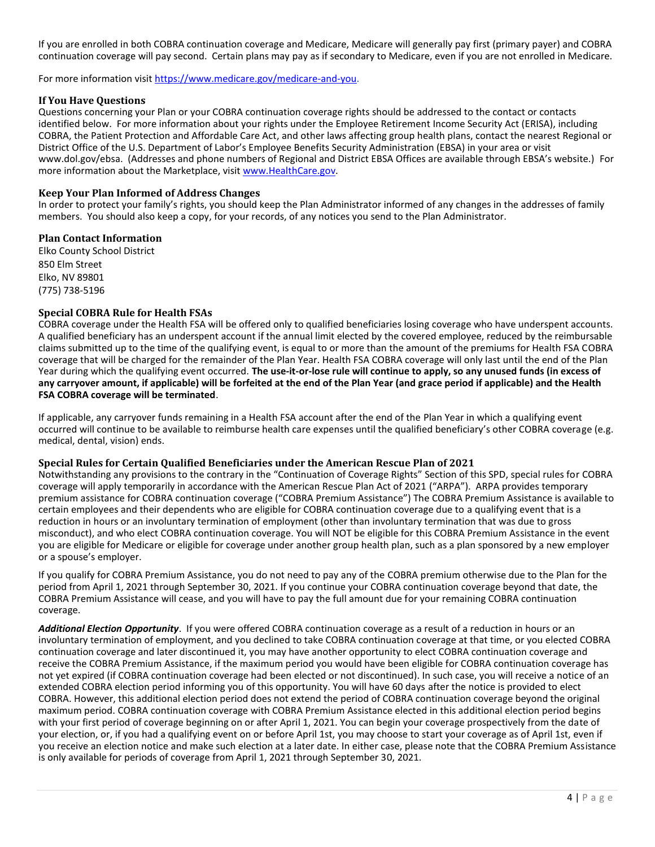If you are enrolled in both COBRA continuation coverage and Medicare, Medicare will generally pay first (primary payer) and COBRA continuation coverage will pay second. Certain plans may pay as if secondary to Medicare, even if you are not enrolled in Medicare.

For more information visit [https://www.medicare.gov/medicare-and-you.](https://www.medicare.gov/medicare-and-you)

#### **If You Have Questions**

Questions concerning your Plan or your COBRA continuation coverage rights should be addressed to the contact or contacts identified below. For more information about your rights under the Employee Retirement Income Security Act (ERISA), including COBRA, the Patient Protection and Affordable Care Act, and other laws affecting group health plans, contact the nearest Regional or District Office of the U.S. Department of Labor's Employee Benefits Security Administration (EBSA) in your area or visit www.dol.gov/ebsa. (Addresses and phone numbers of Regional and District EBSA Offices are available through EBSA's website.) For more information about the Marketplace, visit [www.HealthCare.gov.](http://www.healthcare.gov/)

#### **Keep Your Plan Informed of Address Changes**

In order to protect your family's rights, you should keep the Plan Administrator informed of any changes in the addresses of family members. You should also keep a copy, for your records, of any notices you send to the Plan Administrator.

#### **Plan Contact Information**

Elko County School District 850 Elm Street Elko, NV 89801 (775) 738-5196

#### **Special COBRA Rule for Health FSAs**

COBRA coverage under the Health FSA will be offered only to qualified beneficiaries losing coverage who have underspent accounts. A qualified beneficiary has an underspent account if the annual limit elected by the covered employee, reduced by the reimbursable claims submitted up to the time of the qualifying event, is equal to or more than the amount of the premiums for Health FSA COBRA coverage that will be charged for the remainder of the Plan Year. Health FSA COBRA coverage will only last until the end of the Plan Year during which the qualifying event occurred. **The use-it-or-lose rule will continue to apply, so any unused funds (in excess of any carryover amount, if applicable) will be forfeited at the end of the Plan Year (and grace period if applicable) and the Health FSA COBRA coverage will be terminated**.

If applicable, any carryover funds remaining in a Health FSA account after the end of the Plan Year in which a qualifying event occurred will continue to be available to reimburse health care expenses until the qualified beneficiary's other COBRA coverage (e.g. medical, dental, vision) ends.

#### **Special Rules for Certain Qualified Beneficiaries under the American Rescue Plan of 2021**

Notwithstanding any provisions to the contrary in the "Continuation of Coverage Rights" Section of this SPD, special rules for COBRA coverage will apply temporarily in accordance with the American Rescue Plan Act of 2021 ("ARPA"). ARPA provides temporary premium assistance for COBRA continuation coverage ("COBRA Premium Assistance") The COBRA Premium Assistance is available to certain employees and their dependents who are eligible for COBRA continuation coverage due to a qualifying event that is a reduction in hours or an involuntary termination of employment (other than involuntary termination that was due to gross misconduct), and who elect COBRA continuation coverage. You will NOT be eligible for this COBRA Premium Assistance in the event you are eligible for Medicare or eligible for coverage under another group health plan, such as a plan sponsored by a new employer or a spouse's employer.

If you qualify for COBRA Premium Assistance, you do not need to pay any of the COBRA premium otherwise due to the Plan for the period from April 1, 2021 through September 30, 2021. If you continue your COBRA continuation coverage beyond that date, the COBRA Premium Assistance will cease, and you will have to pay the full amount due for your remaining COBRA continuation coverage.

*Additional Election Opportunity*. If you were offered COBRA continuation coverage as a result of a reduction in hours or an involuntary termination of employment, and you declined to take COBRA continuation coverage at that time, or you elected COBRA continuation coverage and later discontinued it, you may have another opportunity to elect COBRA continuation coverage and receive the COBRA Premium Assistance, if the maximum period you would have been eligible for COBRA continuation coverage has not yet expired (if COBRA continuation coverage had been elected or not discontinued). In such case, you will receive a notice of an extended COBRA election period informing you of this opportunity. You will have 60 days after the notice is provided to elect COBRA. However, this additional election period does not extend the period of COBRA continuation coverage beyond the original maximum period. COBRA continuation coverage with COBRA Premium Assistance elected in this additional election period begins with your first period of coverage beginning on or after April 1, 2021. You can begin your coverage prospectively from the date of your election, or, if you had a qualifying event on or before April 1st, you may choose to start your coverage as of April 1st, even if you receive an election notice and make such election at a later date. In either case, please note that the COBRA Premium Assistance is only available for periods of coverage from April 1, 2021 through September 30, 2021.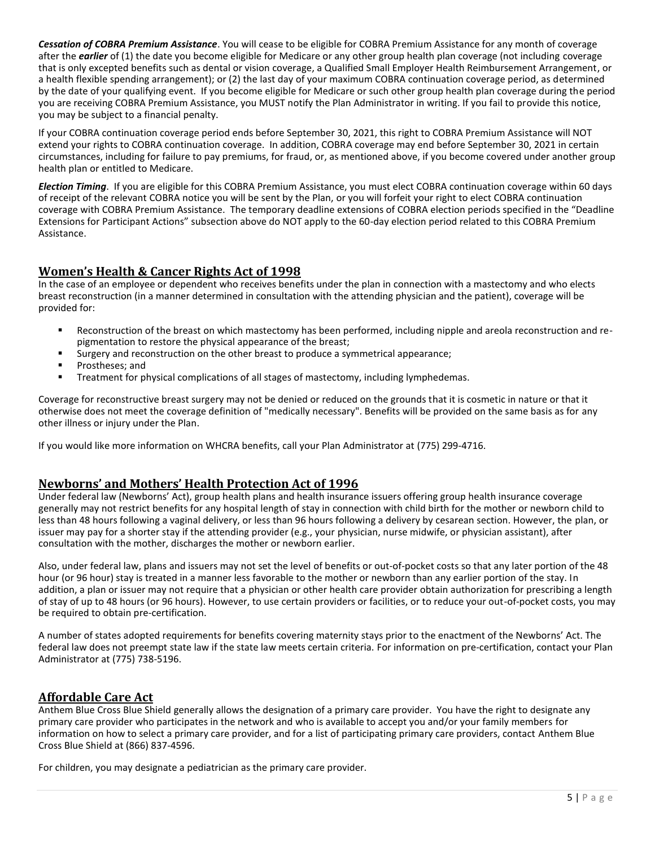*Cessation of COBRA Premium Assistance*. You will cease to be eligible for COBRA Premium Assistance for any month of coverage after the *earlier* of (1) the date you become eligible for Medicare or any other group health plan coverage (not including coverage that is only excepted benefits such as dental or vision coverage, a Qualified Small Employer Health Reimbursement Arrangement, or a health flexible spending arrangement); or (2) the last day of your maximum COBRA continuation coverage period, as determined by the date of your qualifying event. If you become eligible for Medicare or such other group health plan coverage during the period you are receiving COBRA Premium Assistance, you MUST notify the Plan Administrator in writing. If you fail to provide this notice, you may be subject to a financial penalty.

If your COBRA continuation coverage period ends before September 30, 2021, this right to COBRA Premium Assistance will NOT extend your rights to COBRA continuation coverage. In addition, COBRA coverage may end before September 30, 2021 in certain circumstances, including for failure to pay premiums, for fraud, or, as mentioned above, if you become covered under another group health plan or entitled to Medicare.

*Election Timing*. If you are eligible for this COBRA Premium Assistance, you must elect COBRA continuation coverage within 60 days of receipt of the relevant COBRA notice you will be sent by the Plan, or you will forfeit your right to elect COBRA continuation coverage with COBRA Premium Assistance. The temporary deadline extensions of COBRA election periods specified in the "Deadline Extensions for Participant Actions" subsection above do NOT apply to the 60-day election period related to this COBRA Premium Assistance.

## **Women's Health & Cancer Rights Act of 1998**

In the case of an employee or dependent who receives benefits under the plan in connection with a mastectomy and who elects breast reconstruction (in a manner determined in consultation with the attending physician and the patient), coverage will be provided for:

- Reconstruction of the breast on which mastectomy has been performed, including nipple and areola reconstruction and repigmentation to restore the physical appearance of the breast;
- Eurgery and reconstruction on the other breast to produce a symmetrical appearance;
- Prostheses; and
- Treatment for physical complications of all stages of mastectomy, including lymphedemas.

Coverage for reconstructive breast surgery may not be denied or reduced on the grounds that it is cosmetic in nature or that it otherwise does not meet the coverage definition of "medically necessary". Benefits will be provided on the same basis as for any other illness or injury under the Plan.

If you would like more information on WHCRA benefits, call your Plan Administrator at (775) 299-4716.

## **Newborns' and Mothers' Health Protection Act of 1996**

Under federal law (Newborns' Act), group health plans and health insurance issuers offering group health insurance coverage generally may not restrict benefits for any hospital length of stay in connection with child birth for the mother or newborn child to less than 48 hours following a vaginal delivery, or less than 96 hours following a delivery by cesarean section. However, the plan, or issuer may pay for a shorter stay if the attending provider (e.g., your physician, nurse midwife, or physician assistant), after consultation with the mother, discharges the mother or newborn earlier.

Also, under federal law, plans and issuers may not set the level of benefits or out-of-pocket costs so that any later portion of the 48 hour (or 96 hour) stay is treated in a manner less favorable to the mother or newborn than any earlier portion of the stay. In addition, a plan or issuer may not require that a physician or other health care provider obtain authorization for prescribing a length of stay of up to 48 hours (or 96 hours). However, to use certain providers or facilities, or to reduce your out-of-pocket costs, you may be required to obtain pre-certification.

A number of states adopted requirements for benefits covering maternity stays prior to the enactment of the Newborns' Act. The federal law does not preempt state law if the state law meets certain criteria. For information on pre-certification, contact your Plan Administrator at (775) 738-5196.

## **Affordable Care Act**

Anthem Blue Cross Blue Shield generally allows the designation of a primary care provider. You have the right to designate any primary care provider who participates in the network and who is available to accept you and/or your family members for information on how to select a primary care provider, and for a list of participating primary care providers, contact Anthem Blue Cross Blue Shield at (866) 837-4596.

For children, you may designate a pediatrician as the primary care provider.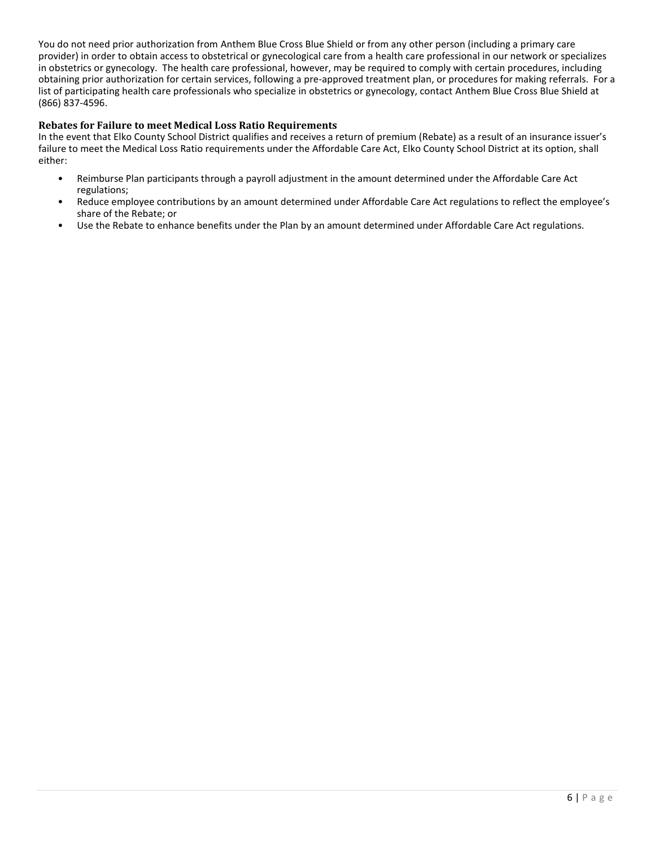You do not need prior authorization from Anthem Blue Cross Blue Shield or from any other person (including a primary care provider) in order to obtain access to obstetrical or gynecological care from a health care professional in our network or specializes in obstetrics or gynecology. The health care professional, however, may be required to comply with certain procedures, including obtaining prior authorization for certain services, following a pre-approved treatment plan, or procedures for making referrals. For a list of participating health care professionals who specialize in obstetrics or gynecology, contact Anthem Blue Cross Blue Shield at (866) 837-4596.

#### **Rebates for Failure to meet Medical Loss Ratio Requirements**

In the event that Elko County School District qualifies and receives a return of premium (Rebate) as a result of an insurance issuer's failure to meet the Medical Loss Ratio requirements under the Affordable Care Act, Elko County School District at its option, shall either:

- Reimburse Plan participants through a payroll adjustment in the amount determined under the Affordable Care Act regulations;
- Reduce employee contributions by an amount determined under Affordable Care Act regulations to reflect the employee's share of the Rebate; or
- Use the Rebate to enhance benefits under the Plan by an amount determined under Affordable Care Act regulations.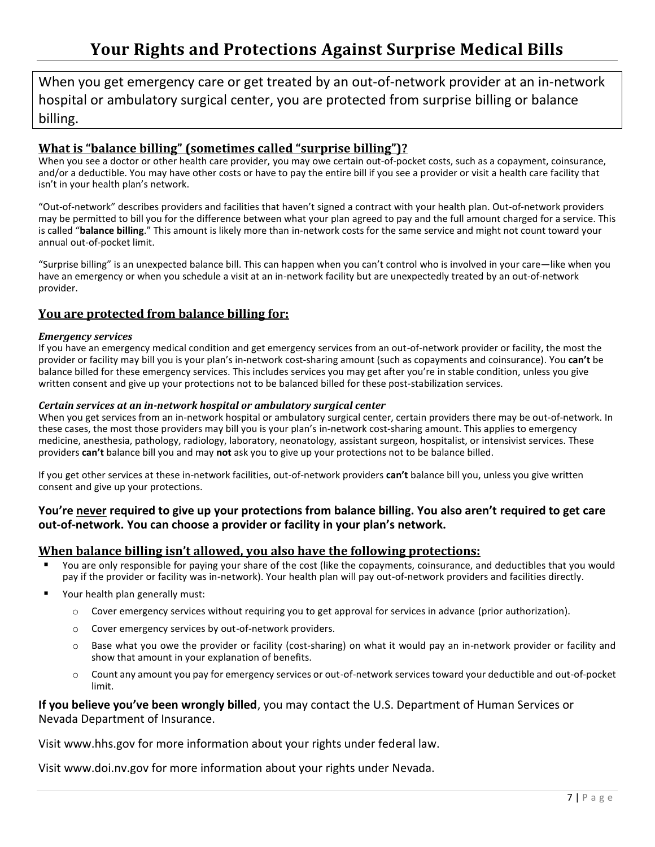When you get emergency care or get treated by an out-of-network provider at an in-network hospital or ambulatory surgical center, you are protected from surprise billing or balance billing.

## **What is "balance billing" (sometimes called "surprise billing")?**

When you see a doctor or other health care provider, you may owe certain out-of-pocket costs, such as a copayment, coinsurance, and/or a deductible. You may have other costs or have to pay the entire bill if you see a provider or visit a health care facility that isn't in your health plan's network.

"Out-of-network" describes providers and facilities that haven't signed a contract with your health plan. Out-of-network providers may be permitted to bill you for the difference between what your plan agreed to pay and the full amount charged for a service. This is called "**balance billing**." This amount is likely more than in-network costs for the same service and might not count toward your annual out-of-pocket limit.

"Surprise billing" is an unexpected balance bill. This can happen when you can't control who is involved in your care—like when you have an emergency or when you schedule a visit at an in-network facility but are unexpectedly treated by an out-of-network provider.

# **You are protected from balance billing for:**

## *Emergency services*

If you have an emergency medical condition and get emergency services from an out-of-network provider or facility, the most the provider or facility may bill you is your plan's in-network cost-sharing amount (such as copayments and coinsurance). You **can't** be balance billed for these emergency services. This includes services you may get after you're in stable condition, unless you give written consent and give up your protections not to be balanced billed for these post-stabilization services.

## *Certain services at an in-network hospital or ambulatory surgical center*

When you get services from an in-network hospital or ambulatory surgical center, certain providers there may be out-of-network. In these cases, the most those providers may bill you is your plan's in-network cost-sharing amount. This applies to emergency medicine, anesthesia, pathology, radiology, laboratory, neonatology, assistant surgeon, hospitalist, or intensivist services. These providers **can't** balance bill you and may **not** ask you to give up your protections not to be balance billed.

If you get other services at these in-network facilities, out-of-network providers **can't** balance bill you, unless you give written consent and give up your protections.

## **You're never required to give up your protections from balance billing. You also aren't required to get care out-of-network. You can choose a provider or facility in your plan's network.**

## **When balance billing isn't allowed, you also have the following protections:**

- You are only responsible for paying your share of the cost (like the copayments, coinsurance, and deductibles that you would pay if the provider or facility was in-network). Your health plan will pay out-of-network providers and facilities directly.
- Your health plan generally must:
	- o Cover emergency services without requiring you to get approval for services in advance (prior authorization).
	- o Cover emergency services by out-of-network providers.
	- Base what you owe the provider or facility (cost-sharing) on what it would pay an in-network provider or facility and show that amount in your explanation of benefits.
	- o Count any amount you pay for emergency services or out-of-network services toward your deductible and out-of-pocket limit.

## **If you believe you've been wrongly billed**, you may contact the U.S. Department of Human Services or Nevada Department of Insurance.

Visit www.hhs.gov for more information about your rights under federal law.

Visit www.doi.nv.gov for more information about your rights under Nevada.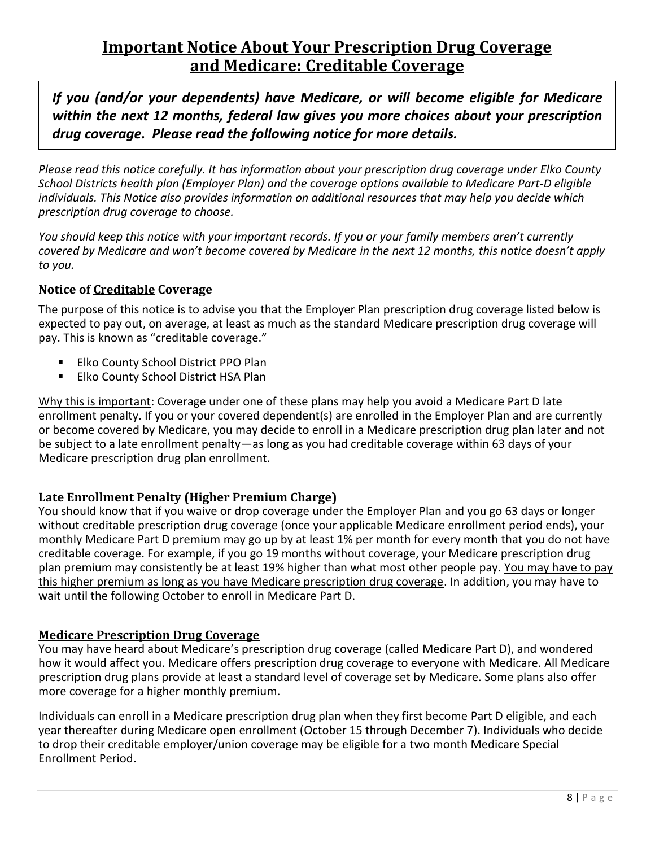# **Important Notice About Your Prescription Drug Coverage and Medicare: Creditable Coverage**

*If you (and/or your dependents) have Medicare, or will become eligible for Medicare within the next 12 months, federal law gives you more choices about your prescription drug coverage. Please read the following notice for more details.*

*Please read this notice carefully. It has information about your prescription drug coverage under Elko County School Districts health plan (Employer Plan) and the coverage options available to Medicare Part-D eligible individuals. This Notice also provides information on additional resources that may help you decide which prescription drug coverage to choose.*

*You should keep this notice with your important records. If you or your family members aren't currently covered by Medicare and won't become covered by Medicare in the next 12 months, this notice doesn't apply to you.*

# **Notice of Creditable Coverage**

The purpose of this notice is to advise you that the Employer Plan prescription drug coverage listed below is expected to pay out, on average, at least as much as the standard Medicare prescription drug coverage will pay. This is known as "creditable coverage."

- **Elko County School District PPO Plan**
- **Elko County School District HSA Plan**

Why this is important: Coverage under one of these plans may help you avoid a Medicare Part D late enrollment penalty. If you or your covered dependent(s) are enrolled in the Employer Plan and are currently or become covered by Medicare, you may decide to enroll in a Medicare prescription drug plan later and not be subject to a late enrollment penalty—as long as you had creditable coverage within 63 days of your Medicare prescription drug plan enrollment.

# **Late Enrollment Penalty (Higher Premium Charge)**

You should know that if you waive or drop coverage under the Employer Plan and you go 63 days or longer without creditable prescription drug coverage (once your applicable Medicare enrollment period ends), your monthly Medicare Part D premium may go up by at least 1% per month for every month that you do not have creditable coverage. For example, if you go 19 months without coverage, your Medicare prescription drug plan premium may consistently be at least 19% higher than what most other people pay. You may have to pay this higher premium as long as you have Medicare prescription drug coverage. In addition, you may have to wait until the following October to enroll in Medicare Part D.

# **Medicare Prescription Drug Coverage**

You may have heard about Medicare's prescription drug coverage (called Medicare Part D), and wondered how it would affect you. Medicare offers prescription drug coverage to everyone with Medicare. All Medicare prescription drug plans provide at least a standard level of coverage set by Medicare. Some plans also offer more coverage for a higher monthly premium.

Individuals can enroll in a Medicare prescription drug plan when they first become Part D eligible, and each year thereafter during Medicare open enrollment (October 15 through December 7). Individuals who decide to drop their creditable employer/union coverage may be eligible for a two month Medicare Special Enrollment Period.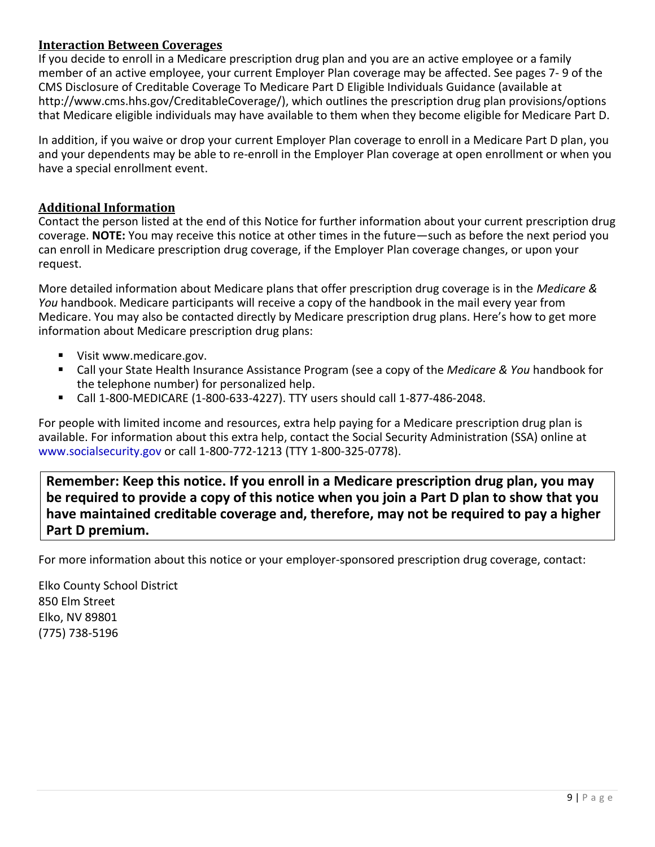# **Interaction Between Coverages**

If you decide to enroll in a Medicare prescription drug plan and you are an active employee or a family member of an active employee, your current Employer Plan coverage may be affected. See pages 7- 9 of the CMS Disclosure of Creditable Coverage To Medicare Part D Eligible Individuals Guidance (available [at](http://www.cms.hhs.gov/CreditableCoverage/))  [http://www.cms.hhs.gov/CreditableCoverage/\), w](http://www.cms.hhs.gov/CreditableCoverage/))hich outlines the prescription drug plan provisions/options that Medicare eligible individuals may have available to them when they become eligible for Medicare Part D.

In addition, if you waive or drop your current Employer Plan coverage to enroll in a Medicare Part D plan, you and your dependents may be able to re-enroll in the Employer Plan coverage at open enrollment or when you have a special enrollment event.

## **Additional Information**

Contact the person listed at the end of this Notice for further information about your current prescription drug coverage. **NOTE:** You may receive this notice at other times in the future—such as before the next period you can enroll in Medicare prescription drug coverage, if the Employer Plan coverage changes, or upon your request.

More detailed information about Medicare plans that offer prescription drug coverage is in the *Medicare & You* handbook. Medicare participants will receive a copy of the handbook in the mail every year from Medicare. You may also be contacted directly by Medicare prescription drug plans. Here's how to get more information about Medicare prescription drug plans:

- Visit www.medicare.gov.
- Call your State Health Insurance Assistance Program (see a copy of the *Medicare & You* handbook for the telephone number) for personalized help.
- Call 1-800-MEDICARE (1-800-633-4227). TTY users should call 1-877-486-2048.

For people with limited income and resources, extra help paying for a Medicare prescription drug plan is available. For information about this extra help, contact the Social Security Administration (SSA) online at www.socialsecurity.gov or call 1-800-772-1213 (TTY 1-800-325-0778).

**Remember: Keep this notice. If you enroll in a Medicare prescription drug plan, you may be required to provide a copy of this notice when you join a Part D plan to show that you have maintained creditable coverage and, therefore, may not be required to pay a higher Part D premium.**

For more information about this notice or your employer-sponsored prescription drug coverage, contact:

Elko County School District 850 Elm Street Elko, NV 89801 (775) 738-5196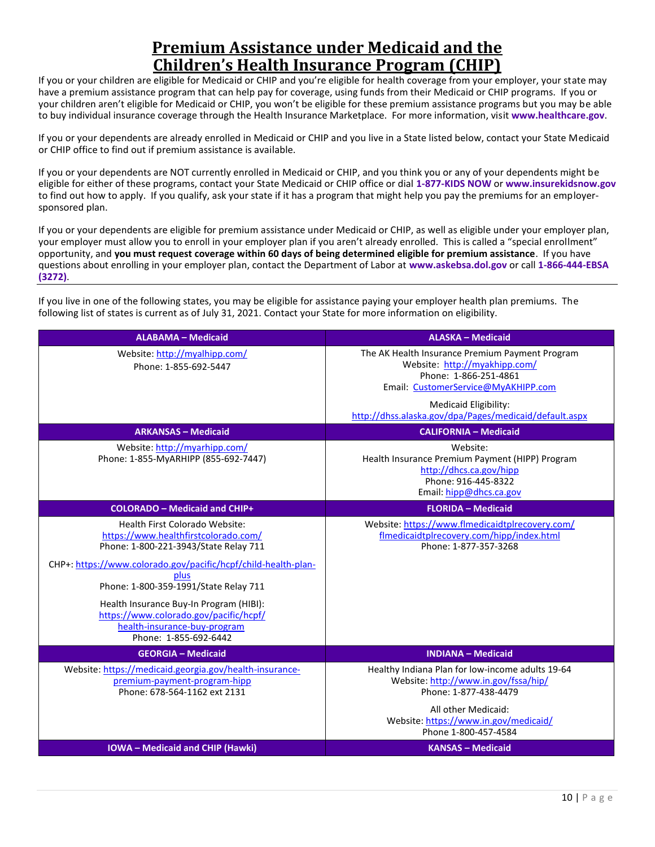# **Premium Assistance under Medicaid and the Children's Health Insurance Program (CHIP)**

If you or your children are eligible for Medicaid or CHIP and you're eligible for health coverage from your employer, your state may have a premium assistance program that can help pay for coverage, using funds from their Medicaid or CHIP programs. If you or your children aren't eligible for Medicaid or CHIP, you won't be eligible for these premium assistance programs but you may be able to buy individual insurance coverage through the Health Insurance Marketplace. For more information, visit **[www.healthcare.gov](http://www.healthcare.gov/)**.

If you or your dependents are already enrolled in Medicaid or CHIP and you live in a State listed below, contact your State Medicaid or CHIP office to find out if premium assistance is available.

If you or your dependents are NOT currently enrolled in Medicaid or CHIP, and you think you or any of your dependents might be eligible for either of these programs, contact your State Medicaid or CHIP office or dial **1-877-KIDS NOW** or **[www.insurekidsnow.gov](http://www.insurekidsnow.gov/)** to find out how to apply. If you qualify, ask your state if it has a program that might help you pay the premiums for an employersponsored plan.

If you or your dependents are eligible for premium assistance under Medicaid or CHIP, as well as eligible under your employer plan, your employer must allow you to enroll in your employer plan if you aren't already enrolled. This is called a "special enrollment" opportunity, and **you must request coverage within 60 days of being determined eligible for premium assistance**. If you have questions about enrolling in your employer plan, contact the Department of Labor at **[www.askebsa.dol.gov](http://www.askebsa.dol.gov/)** or call **1-866-444-EBSA (3272)**.

If you live in one of the following states, you may be eligible for assistance paying your employer health plan premiums. The following list of states is current as of July 31, 2021. Contact your State for more information on eligibility.

| <b>ALABAMA - Medicaid</b>                                                                                                                                                                                                                                                                                                                                                        | <b>ALASKA - Medicaid</b>                                                                                                                                                                                                                   |
|----------------------------------------------------------------------------------------------------------------------------------------------------------------------------------------------------------------------------------------------------------------------------------------------------------------------------------------------------------------------------------|--------------------------------------------------------------------------------------------------------------------------------------------------------------------------------------------------------------------------------------------|
| Website: http://myalhipp.com/<br>Phone: 1-855-692-5447                                                                                                                                                                                                                                                                                                                           | The AK Health Insurance Premium Payment Program<br>Website: http://myakhipp.com/<br>Phone: 1-866-251-4861<br>Email: CustomerService@MyAKHIPP.com<br><b>Medicaid Eligibility:</b><br>http://dhss.alaska.gov/dpa/Pages/medicaid/default.aspx |
| <b>ARKANSAS - Medicaid</b>                                                                                                                                                                                                                                                                                                                                                       | <b>CALIFORNIA - Medicaid</b>                                                                                                                                                                                                               |
| Website: http://myarhipp.com/<br>Phone: 1-855-MyARHIPP (855-692-7447)                                                                                                                                                                                                                                                                                                            | Website:<br>Health Insurance Premium Payment (HIPP) Program<br>http://dhcs.ca.gov/hipp<br>Phone: 916-445-8322<br>Email: hipp@dhcs.ca.gov                                                                                                   |
| <b>COLORADO - Medicaid and CHIP+</b>                                                                                                                                                                                                                                                                                                                                             | <b>FLORIDA - Medicaid</b>                                                                                                                                                                                                                  |
| Health First Colorado Website:<br>https://www.healthfirstcolorado.com/<br>Phone: 1-800-221-3943/State Relay 711<br>CHP+: https://www.colorado.gov/pacific/hcpf/child-health-plan-<br>plus<br>Phone: 1-800-359-1991/State Relay 711<br>Health Insurance Buy-In Program (HIBI):<br>https://www.colorado.gov/pacific/hcpf/<br>health-insurance-buy-program<br>Phone: 1-855-692-6442 | Website: https://www.flmedicaidtplrecovery.com/<br>flmedicaidtplrecovery.com/hipp/index.html<br>Phone: 1-877-357-3268                                                                                                                      |
| <b>GEORGIA - Medicaid</b>                                                                                                                                                                                                                                                                                                                                                        | <b>INDIANA - Medicaid</b>                                                                                                                                                                                                                  |
| Website: https://medicaid.georgia.gov/health-insurance-<br>premium-payment-program-hipp<br>Phone: 678-564-1162 ext 2131                                                                                                                                                                                                                                                          | Healthy Indiana Plan for low-income adults 19-64<br>Website: http://www.in.gov/fssa/hip/<br>Phone: 1-877-438-4479<br>All other Medicaid:<br>Website: https://www.in.gov/medicaid/                                                          |
| <b>IOWA</b> - Medicaid and CHIP (Hawki)                                                                                                                                                                                                                                                                                                                                          | Phone 1-800-457-4584<br><b>KANSAS - Medicaid</b>                                                                                                                                                                                           |
|                                                                                                                                                                                                                                                                                                                                                                                  |                                                                                                                                                                                                                                            |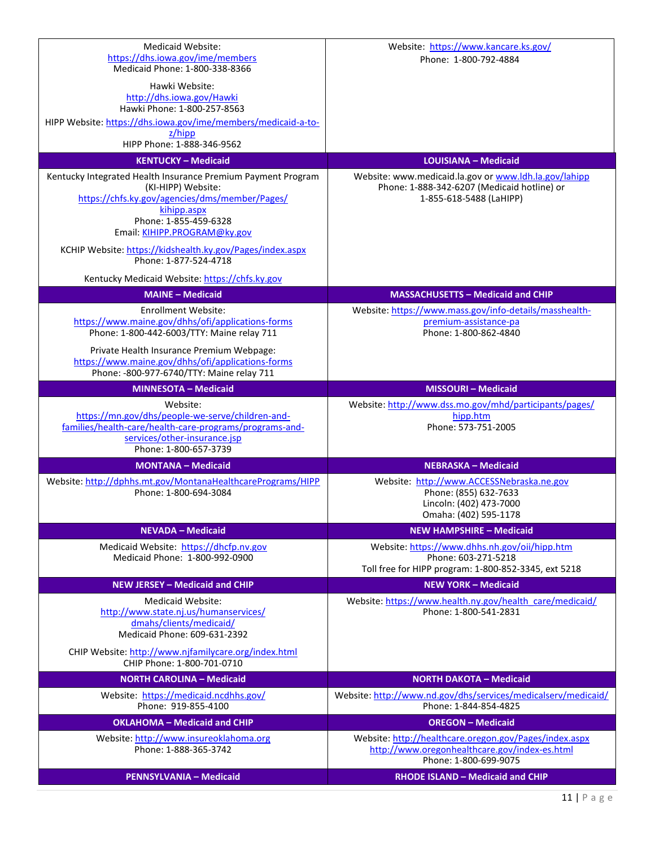| Medicaid Website:<br>https://dhs.iowa.gov/ime/members<br>Medicaid Phone: 1-800-338-8366<br>Hawki Website:<br>http://dhs.iowa.gov/Hawki<br>Hawki Phone: 1-800-257-8563<br>HIPP Website: https://dhs.iowa.gov/ime/members/medicaid-a-to-<br>$z/h$ ipp<br>HIPP Phone: 1-888-346-9562<br><b>KENTUCKY - Medicaid</b><br>Kentucky Integrated Health Insurance Premium Payment Program<br>(KI-HIPP) Website:<br>https://chfs.ky.gov/agencies/dms/member/Pages/ | Website: https://www.kancare.ks.gov/<br>Phone: 1-800-792-4884<br><b>LOUISIANA - Medicaid</b><br>Website: www.medicaid.la.gov or www.ldh.la.gov/lahipp<br>Phone: 1-888-342-6207 (Medicaid hotline) or<br>1-855-618-5488 (LaHIPP) |
|---------------------------------------------------------------------------------------------------------------------------------------------------------------------------------------------------------------------------------------------------------------------------------------------------------------------------------------------------------------------------------------------------------------------------------------------------------|---------------------------------------------------------------------------------------------------------------------------------------------------------------------------------------------------------------------------------|
| kihipp.aspx<br>Phone: 1-855-459-6328<br>Email: KIHIPP.PROGRAM@ky.gov<br>KCHIP Website: https://kidshealth.ky.gov/Pages/index.aspx<br>Phone: 1-877-524-4718<br>Kentucky Medicaid Website: https://chfs.ky.gov<br><b>MAINE - Medicaid</b>                                                                                                                                                                                                                 |                                                                                                                                                                                                                                 |
|                                                                                                                                                                                                                                                                                                                                                                                                                                                         | <b>MASSACHUSETTS - Medicaid and CHIP</b>                                                                                                                                                                                        |
| Enrollment Website:<br>https://www.maine.gov/dhhs/ofi/applications-forms<br>Phone: 1-800-442-6003/TTY: Maine relay 711<br>Private Health Insurance Premium Webpage:<br>https://www.maine.gov/dhhs/ofi/applications-forms                                                                                                                                                                                                                                | Website: https://www.mass.gov/info-details/masshealth-<br>premium-assistance-pa<br>Phone: 1-800-862-4840                                                                                                                        |
| Phone: - 800-977-6740/TTY: Maine relay 711                                                                                                                                                                                                                                                                                                                                                                                                              |                                                                                                                                                                                                                                 |
| <b>MINNESOTA - Medicaid</b>                                                                                                                                                                                                                                                                                                                                                                                                                             | <b>MISSOURI - Medicaid</b>                                                                                                                                                                                                      |
| Website:<br>https://mn.gov/dhs/people-we-serve/children-and-<br>families/health-care/health-care-programs/programs-and-<br>services/other-insurance.jsp<br>Phone: 1-800-657-3739                                                                                                                                                                                                                                                                        | Website: http://www.dss.mo.gov/mhd/participants/pages/<br>hipp.htm<br>Phone: 573-751-2005                                                                                                                                       |
| <b>MONTANA - Medicaid</b>                                                                                                                                                                                                                                                                                                                                                                                                                               | <b>NEBRASKA - Medicaid</b>                                                                                                                                                                                                      |
| Website: http://dphhs.mt.gov/MontanaHealthcarePrograms/HIPP<br>Phone: 1-800-694-3084                                                                                                                                                                                                                                                                                                                                                                    | Website: http://www.ACCESSNebraska.ne.gov<br>Phone: (855) 632-7633<br>Lincoln: (402) 473-7000<br>Omaha: (402) 595-1178                                                                                                          |
| <b>NEVADA - Medicaid</b>                                                                                                                                                                                                                                                                                                                                                                                                                                | <b>NEW HAMPSHIRE - Medicaid</b>                                                                                                                                                                                                 |
| Medicaid Website: https://dhcfp.ny.gov<br>Medicaid Phone: 1-800-992-0900                                                                                                                                                                                                                                                                                                                                                                                | Website: https://www.dhhs.nh.gov/oii/hipp.htm<br>Phone: 603-271-5218<br>Toll free for HIPP program: 1-800-852-3345, ext 5218                                                                                                    |
| <b>NEW JERSEY - Medicaid and CHIP</b>                                                                                                                                                                                                                                                                                                                                                                                                                   | <b>NEW YORK - Medicaid</b>                                                                                                                                                                                                      |
| <b>Medicaid Website:</b><br>http://www.state.nj.us/humanservices/<br>dmahs/clients/medicaid/<br>Medicaid Phone: 609-631-2392<br>CHIP Website: http://www.njfamilycare.org/index.html                                                                                                                                                                                                                                                                    | Website: https://www.health.ny.gov/health_care/medicaid/<br>Phone: 1-800-541-2831                                                                                                                                               |
| CHIP Phone: 1-800-701-0710                                                                                                                                                                                                                                                                                                                                                                                                                              |                                                                                                                                                                                                                                 |
| <b>NORTH CAROLINA - Medicaid</b>                                                                                                                                                                                                                                                                                                                                                                                                                        | <b>NORTH DAKOTA - Medicaid</b>                                                                                                                                                                                                  |
| Website: https://medicaid.ncdhhs.gov/<br>Phone: 919-855-4100                                                                                                                                                                                                                                                                                                                                                                                            | Website: http://www.nd.gov/dhs/services/medicalserv/medicaid/<br>Phone: 1-844-854-4825                                                                                                                                          |
| <b>OKLAHOMA - Medicaid and CHIP</b>                                                                                                                                                                                                                                                                                                                                                                                                                     | <b>OREGON - Medicaid</b>                                                                                                                                                                                                        |
| Website: http://www.insureoklahoma.org<br>Phone: 1-888-365-3742                                                                                                                                                                                                                                                                                                                                                                                         | Website: http://healthcare.oregon.gov/Pages/index.aspx<br>http://www.oregonhealthcare.gov/index-es.html<br>Phone: 1-800-699-9075                                                                                                |
| <b>PENNSYLVANIA - Medicaid</b>                                                                                                                                                                                                                                                                                                                                                                                                                          | <b>RHODE ISLAND - Medicaid and CHIP</b>                                                                                                                                                                                         |